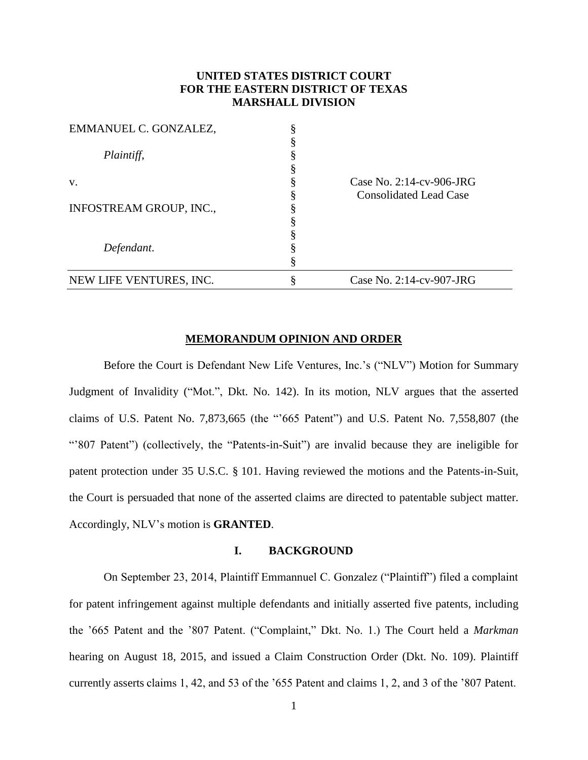## **UNITED STATES DISTRICT COURT FOR THE EASTERN DISTRICT OF TEXAS MARSHALL DIVISION**

| EMMANUEL C. GONZALEZ,   |                                                              |
|-------------------------|--------------------------------------------------------------|
| Plaintiff,              |                                                              |
| V.                      | Case No. $2:14$ -cv-906-JRG<br><b>Consolidated Lead Case</b> |
| INFOSTREAM GROUP, INC., |                                                              |
|                         |                                                              |
| Defendant.              |                                                              |
| NEW LIFE VENTURES, INC. | Case No. 2:14-cv-907-JRG                                     |

#### **MEMORANDUM OPINION AND ORDER**

Before the Court is Defendant New Life Ventures, Inc.'s ("NLV") Motion for Summary Judgment of Invalidity ("Mot.", Dkt. No. 142). In its motion, NLV argues that the asserted claims of U.S. Patent No. 7,873,665 (the "'665 Patent") and U.S. Patent No. 7,558,807 (the "'807 Patent") (collectively, the "Patents-in-Suit") are invalid because they are ineligible for patent protection under 35 U.S.C. § 101. Having reviewed the motions and the Patents-in-Suit, the Court is persuaded that none of the asserted claims are directed to patentable subject matter. Accordingly, NLV's motion is **GRANTED**.

## **I. BACKGROUND**

On September 23, 2014, Plaintiff Emmannuel C. Gonzalez ("Plaintiff") filed a complaint for patent infringement against multiple defendants and initially asserted five patents, including the '665 Patent and the '807 Patent. ("Complaint," Dkt. No. 1.) The Court held a *Markman*  hearing on August 18, 2015, and issued a Claim Construction Order (Dkt. No. 109). Plaintiff currently asserts claims 1, 42, and 53 of the '655 Patent and claims 1, 2, and 3 of the '807 Patent.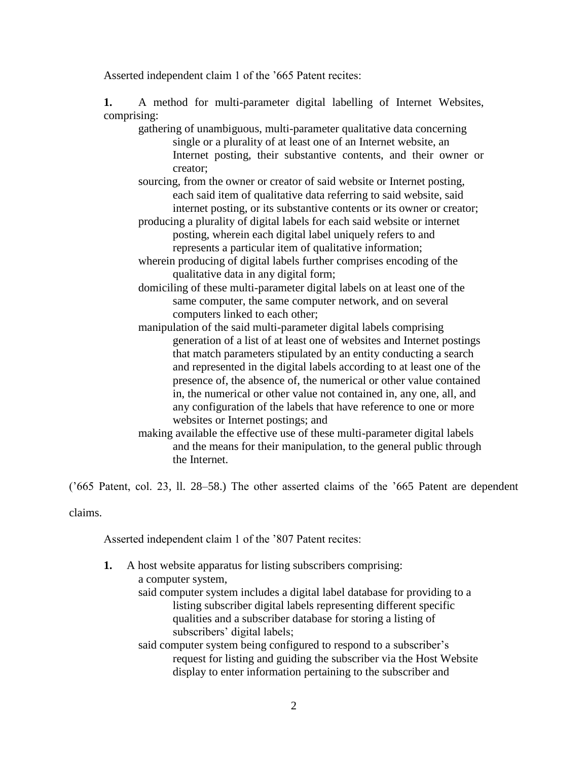Asserted independent claim 1 of the '665 Patent recites:

**1.** A method for multi-parameter digital labelling of Internet Websites, comprising:

gathering of unambiguous, multi-parameter qualitative data concerning single or a plurality of at least one of an Internet website, an Internet posting, their substantive contents, and their owner or creator;

sourcing, from the owner or creator of said website or Internet posting, each said item of qualitative data referring to said website, said internet posting, or its substantive contents or its owner or creator;

producing a plurality of digital labels for each said website or internet posting, wherein each digital label uniquely refers to and represents a particular item of qualitative information;

wherein producing of digital labels further comprises encoding of the qualitative data in any digital form;

domiciling of these multi-parameter digital labels on at least one of the same computer, the same computer network, and on several computers linked to each other;

manipulation of the said multi-parameter digital labels comprising generation of a list of at least one of websites and Internet postings that match parameters stipulated by an entity conducting a search and represented in the digital labels according to at least one of the presence of, the absence of, the numerical or other value contained in, the numerical or other value not contained in, any one, all, and any configuration of the labels that have reference to one or more websites or Internet postings; and

making available the effective use of these multi-parameter digital labels and the means for their manipulation, to the general public through the Internet.

('665 Patent, col. 23, ll. 28–58.) The other asserted claims of the '665 Patent are dependent

claims.

Asserted independent claim 1 of the '807 Patent recites:

| 1.                                                                 | A host website apparatus for listing subscribers comprising:              |  |
|--------------------------------------------------------------------|---------------------------------------------------------------------------|--|
|                                                                    | a computer system,                                                        |  |
|                                                                    | said computer system includes a digital label database for providing to a |  |
|                                                                    | listing subscriber digital labels representing different specific         |  |
|                                                                    | qualities and a subscriber database for storing a listing of              |  |
|                                                                    | subscribers' digital labels;                                              |  |
| said computer system being configured to respond to a subscriber's |                                                                           |  |
|                                                                    | request for listing and guiding the subscriber via the Host Website       |  |
|                                                                    | display to enter information pertaining to the subscriber and             |  |
|                                                                    |                                                                           |  |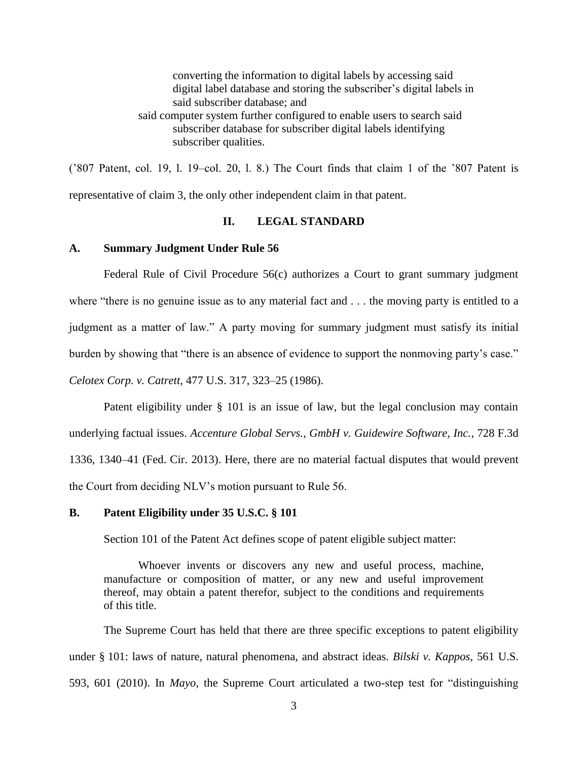converting the information to digital labels by accessing said digital label database and storing the subscriber's digital labels in said subscriber database; and said computer system further configured to enable users to search said subscriber database for subscriber digital labels identifying subscriber qualities.

('807 Patent, col. 19, l. 19–col. 20, l. 8.) The Court finds that claim 1 of the '807 Patent is representative of claim 3, the only other independent claim in that patent.

## **II. LEGAL STANDARD**

#### **A. Summary Judgment Under Rule 56**

Federal Rule of Civil Procedure 56(c) authorizes a Court to grant summary judgment where "there is no genuine issue as to any material fact and . . . the moving party is entitled to a judgment as a matter of law." A party moving for summary judgment must satisfy its initial burden by showing that "there is an absence of evidence to support the nonmoving party's case." *Celotex Corp. v. Catrett*, 477 U.S. 317, 323–25 (1986).

Patent eligibility under § 101 is an issue of law, but the legal conclusion may contain underlying factual issues. *Accenture Global Servs., GmbH v. Guidewire Software, Inc.*, 728 F.3d 1336, 1340–41 (Fed. Cir. 2013). Here, there are no material factual disputes that would prevent the Court from deciding NLV's motion pursuant to Rule 56.

#### **B. Patent Eligibility under 35 U.S.C. § 101**

Section 101 of the Patent Act defines scope of patent eligible subject matter:

Whoever invents or discovers any new and useful process, machine, manufacture or composition of matter, or any new and useful improvement thereof, may obtain a patent therefor, subject to the conditions and requirements of this title.

The Supreme Court has held that there are three specific exceptions to patent eligibility under § 101: laws of nature, natural phenomena, and abstract ideas. *Bilski v. Kappos*, 561 U.S. 593, 601 (2010). In *Mayo*, the Supreme Court articulated a two-step test for "distinguishing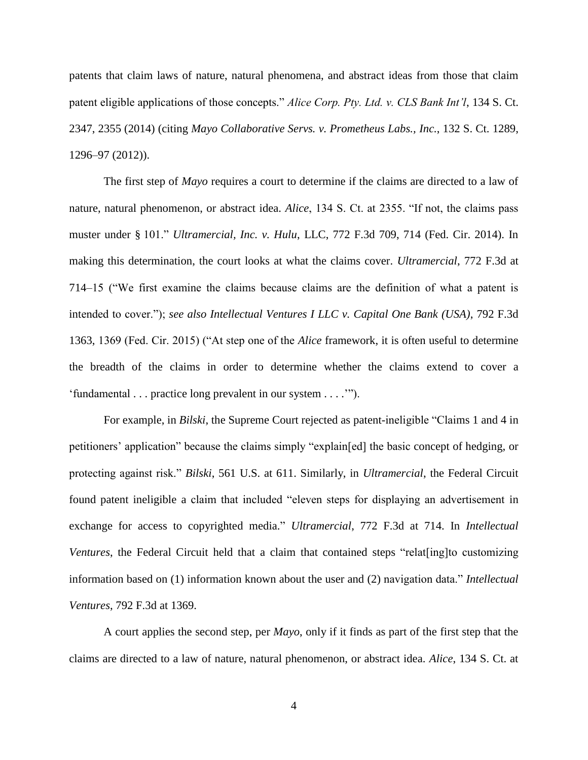patents that claim laws of nature, natural phenomena, and abstract ideas from those that claim patent eligible applications of those concepts." *Alice Corp. Pty. Ltd. v. CLS Bank Int'l*, 134 S. Ct. 2347, 2355 (2014) (citing *Mayo Collaborative Servs. v. Prometheus Labs., Inc.*, 132 S. Ct. 1289, 1296–97 (2012)).

The first step of *Mayo* requires a court to determine if the claims are directed to a law of nature, natural phenomenon, or abstract idea. *Alice*, 134 S. Ct. at 2355. "If not, the claims pass muster under § 101." *Ultramercial, Inc. v. Hulu*, LLC, 772 F.3d 709, 714 (Fed. Cir. 2014). In making this determination, the court looks at what the claims cover. *Ultramercial*, 772 F.3d at 714–15 ("We first examine the claims because claims are the definition of what a patent is intended to cover."); *see also Intellectual Ventures I LLC v. Capital One Bank (USA)*, 792 F.3d 1363, 1369 (Fed. Cir. 2015) ("At step one of the *Alice* framework, it is often useful to determine the breadth of the claims in order to determine whether the claims extend to cover a 'fundamental . . . practice long prevalent in our system . . . .'").

For example, in *Bilski*, the Supreme Court rejected as patent-ineligible "Claims 1 and 4 in petitioners' application" because the claims simply "explain[ed] the basic concept of hedging, or protecting against risk." *Bilski*, 561 U.S. at 611. Similarly, in *Ultramercial*, the Federal Circuit found patent ineligible a claim that included "eleven steps for displaying an advertisement in exchange for access to copyrighted media." *Ultramercial*, 772 F.3d at 714. In *Intellectual Ventures*, the Federal Circuit held that a claim that contained steps "relat [ing]to customizing information based on (1) information known about the user and (2) navigation data." *Intellectual Ventures*, 792 F.3d at 1369.

A court applies the second step, per *Mayo*, only if it finds as part of the first step that the claims are directed to a law of nature, natural phenomenon, or abstract idea. *Alice*, 134 S. Ct. at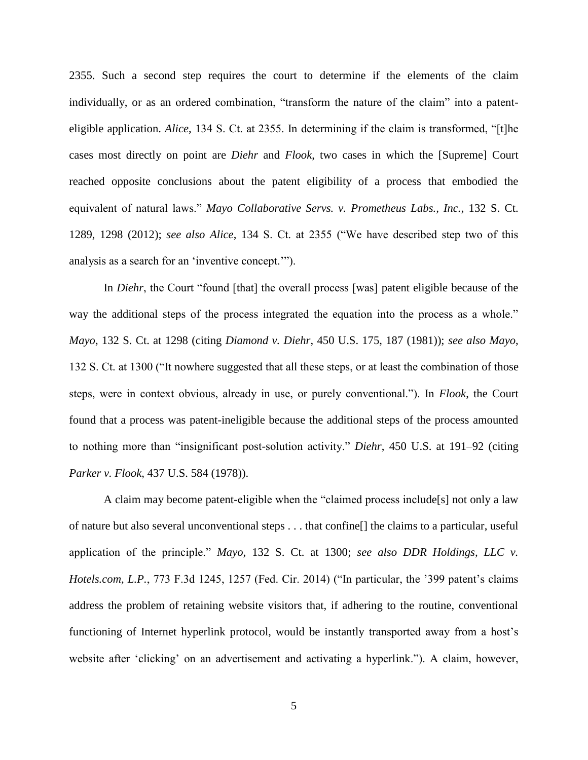2355. Such a second step requires the court to determine if the elements of the claim individually, or as an ordered combination, "transform the nature of the claim" into a patenteligible application. *Alice*, 134 S. Ct. at 2355. In determining if the claim is transformed, "[t]he cases most directly on point are *Diehr* and *Flook*, two cases in which the [Supreme] Court reached opposite conclusions about the patent eligibility of a process that embodied the equivalent of natural laws." *Mayo Collaborative Servs. v. Prometheus Labs., Inc.*, 132 S. Ct. 1289, 1298 (2012); *see also Alice*, 134 S. Ct. at 2355 ("We have described step two of this analysis as a search for an 'inventive concept.'").

In *Diehr*, the Court "found [that] the overall process [was] patent eligible because of the way the additional steps of the process integrated the equation into the process as a whole." *Mayo*, 132 S. Ct. at 1298 (citing *Diamond v. Diehr*, 450 U.S. 175, 187 (1981)); *see also Mayo*, 132 S. Ct. at 1300 ("It nowhere suggested that all these steps, or at least the combination of those steps, were in context obvious, already in use, or purely conventional."). In *Flook*, the Court found that a process was patent-ineligible because the additional steps of the process amounted to nothing more than "insignificant post-solution activity." *Diehr*, 450 U.S. at 191–92 (citing *Parker v. Flook*, 437 U.S. 584 (1978)).

A claim may become patent-eligible when the "claimed process include[s] not only a law of nature but also several unconventional steps . . . that confine[] the claims to a particular, useful application of the principle." *Mayo*, 132 S. Ct. at 1300; *see also DDR Holdings, LLC v. Hotels.com, L.P.*, 773 F.3d 1245, 1257 (Fed. Cir. 2014) ("In particular, the '399 patent's claims address the problem of retaining website visitors that, if adhering to the routine, conventional functioning of Internet hyperlink protocol, would be instantly transported away from a host's website after 'clicking' on an advertisement and activating a hyperlink."). A claim, however,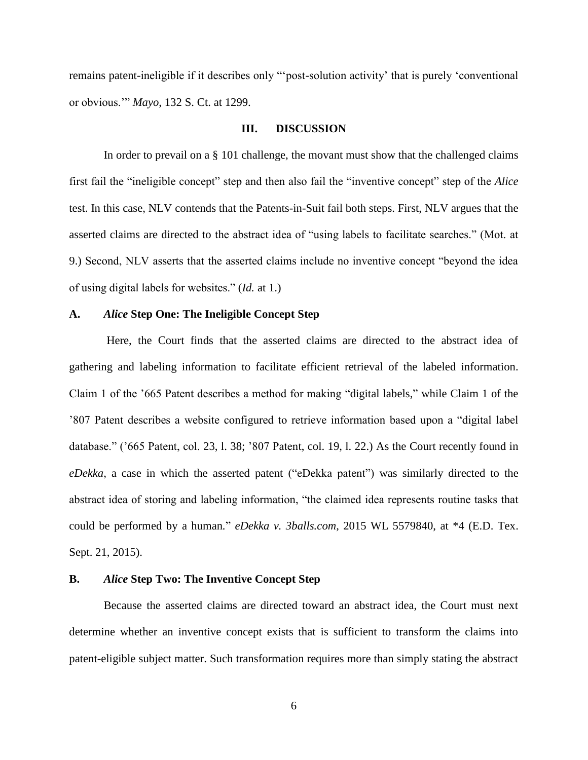remains patent-ineligible if it describes only "'post-solution activity' that is purely 'conventional or obvious.'" *Mayo*, 132 S. Ct. at 1299.

#### **III. DISCUSSION**

In order to prevail on a § 101 challenge, the movant must show that the challenged claims first fail the "ineligible concept" step and then also fail the "inventive concept" step of the *Alice* test. In this case, NLV contends that the Patents-in-Suit fail both steps. First, NLV argues that the asserted claims are directed to the abstract idea of "using labels to facilitate searches." (Mot. at 9.) Second, NLV asserts that the asserted claims include no inventive concept "beyond the idea of using digital labels for websites." (*Id.* at 1.)

## **A.** *Alice* **Step One: The Ineligible Concept Step**

Here, the Court finds that the asserted claims are directed to the abstract idea of gathering and labeling information to facilitate efficient retrieval of the labeled information. Claim 1 of the '665 Patent describes a method for making "digital labels," while Claim 1 of the '807 Patent describes a website configured to retrieve information based upon a "digital label database." ('665 Patent, col. 23, l. 38; '807 Patent, col. 19, l. 22.) As the Court recently found in *eDekka*, a case in which the asserted patent ("eDekka patent") was similarly directed to the abstract idea of storing and labeling information, "the claimed idea represents routine tasks that could be performed by a human*.*" *eDekka v. 3balls.com*, 2015 WL 5579840, at \*4 (E.D. Tex. Sept. 21, 2015).

### **B.** *Alice* **Step Two: The Inventive Concept Step**

Because the asserted claims are directed toward an abstract idea, the Court must next determine whether an inventive concept exists that is sufficient to transform the claims into patent-eligible subject matter. Such transformation requires more than simply stating the abstract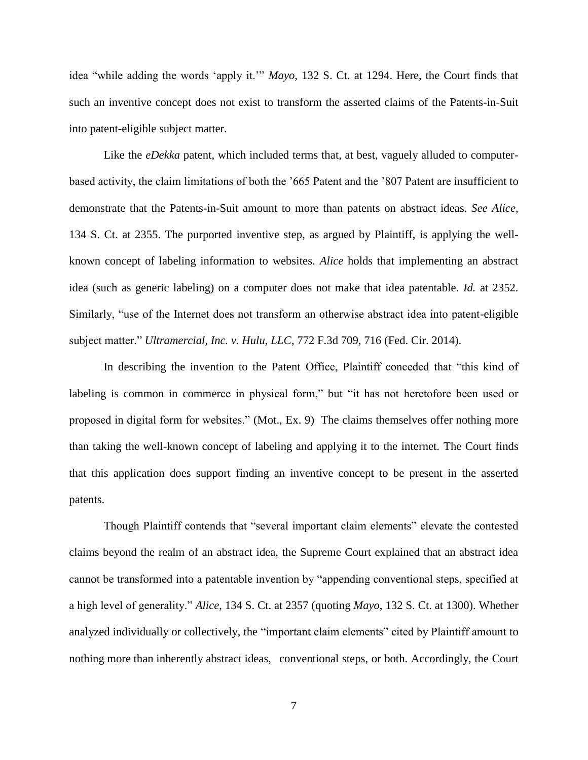idea "while adding the words 'apply it.'" *Mayo*, 132 S. Ct. at 1294. Here, the Court finds that such an inventive concept does not exist to transform the asserted claims of the Patents-in-Suit into patent-eligible subject matter.

Like the *eDekka* patent, which included terms that, at best, vaguely alluded to computerbased activity, the claim limitations of both the '665 Patent and the '807 Patent are insufficient to demonstrate that the Patents-in-Suit amount to more than patents on abstract ideas. *See Alice*, 134 S. Ct. at 2355. The purported inventive step, as argued by Plaintiff, is applying the wellknown concept of labeling information to websites. *Alice* holds that implementing an abstract idea (such as generic labeling) on a computer does not make that idea patentable. *Id.* at 2352. Similarly, "use of the Internet does not transform an otherwise abstract idea into patent-eligible subject matter." *Ultramercial, Inc. v. Hulu, LLC*, 772 F.3d 709, 716 (Fed. Cir. 2014).

In describing the invention to the Patent Office, Plaintiff conceded that "this kind of labeling is common in commerce in physical form," but "it has not heretofore been used or proposed in digital form for websites." (Mot., Ex. 9) The claims themselves offer nothing more than taking the well-known concept of labeling and applying it to the internet. The Court finds that this application does support finding an inventive concept to be present in the asserted patents.

Though Plaintiff contends that "several important claim elements" elevate the contested claims beyond the realm of an abstract idea, the Supreme Court explained that an abstract idea cannot be transformed into a patentable invention by "appending conventional steps, specified at a high level of generality." *Alice*, 134 S. Ct. at 2357 (quoting *Mayo*, 132 S. Ct. at 1300). Whether analyzed individually or collectively, the "important claim elements" cited by Plaintiff amount to nothing more than inherently abstract ideas, conventional steps, or both. Accordingly, the Court